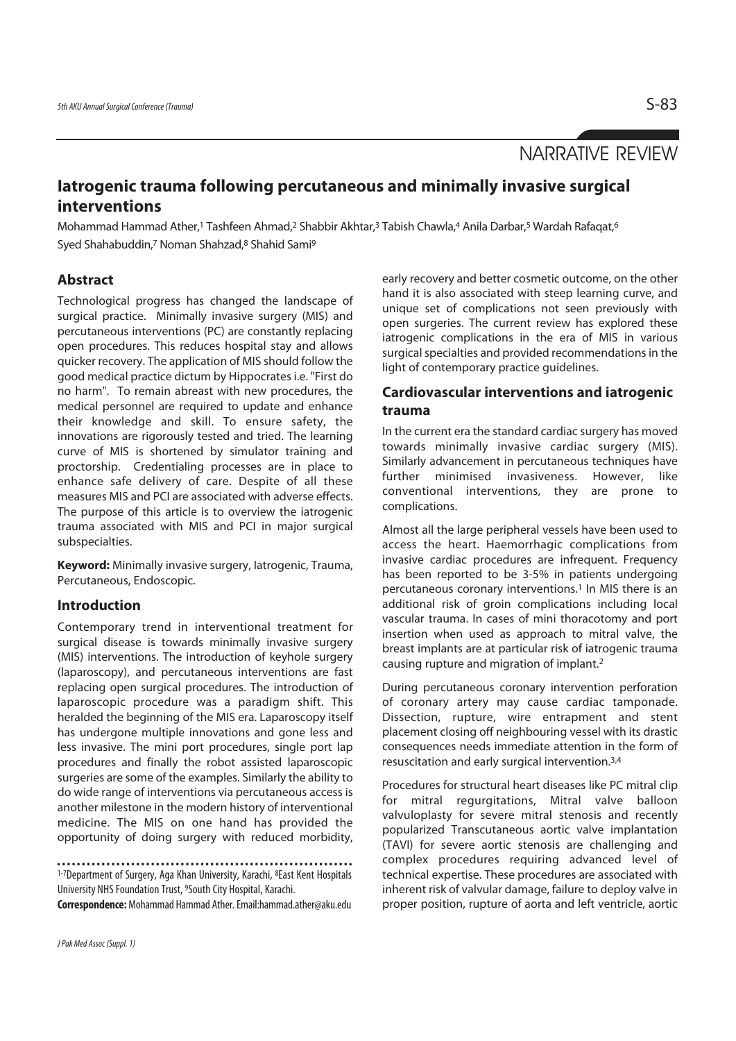# NARRATIVE REVIEW

# **Iatrogenic trauma following percutaneous and minimally invasive surgical interventions**

Mohammad Hammad Ather,<sup>1</sup> Tashfeen Ahmad,<sup>2</sup> Shabbir Akhtar,<sup>3</sup> Tabish Chawla,<sup>4</sup> Anila Darbar,<sup>5</sup> Wardah Rafaqat,<sup>6</sup> Syed Shahabuddin,<sup>7</sup> Noman Shahzad,<sup>8</sup> Shahid Sami<sup>9</sup>

## **Abstract**

Technological progress has changed the landscape of surgical practice. Minimally invasive surgery (MIS) and percutaneous interventions (PC) are constantly replacing open procedures. This reduces hospital stay and allows quicker recovery. The application of MIS should follow the good medical practice dictum by Hippocrates i.e. "First do no harm". To remain abreast with new procedures, the medical personnel are required to update and enhance their knowledge and skill. To ensure safety, the innovations are rigorously tested and tried. The learning curve of MIS is shortened by simulator training and proctorship. Credentialing processes are in place to enhance safe delivery of care. Despite of all these measures MIS and PCI are associated with adverse effects. The purpose of this article is to overview the iatrogenic trauma associated with MIS and PCI in major surgical subspecialties.

**Keyword:** Minimally invasive surgery, Iatrogenic, Trauma, Percutaneous, Endoscopic.

## **Introduction**

Contemporary trend in interventional treatment for surgical disease is towards minimally invasive surgery (MIS) interventions. The introduction of keyhole surgery (laparoscopy), and percutaneous interventions are fast replacing open surgical procedures. The introduction of laparoscopic procedure was a paradigm shift. This heralded the beginning of the MIS era. Laparoscopy itself has undergone multiple innovations and gone less and less invasive. The mini port procedures, single port lap procedures and finally the robot assisted laparoscopic surgeries are some of the examples. Similarly the ability to do wide range of interventions via percutaneous access is another milestone in the modern history of interventional medicine. The MIS on one hand has provided the opportunity of doing surgery with reduced morbidity,

1-7Department of Surgery, Aga Khan University, Karachi, 8East Kent Hospitals University NHS Foundation Trust, 9South City Hospital, Karachi.

**Correspondence:** Mohammad Hammad Ather. Email:hammad.ather@aku.edu

early recovery and better cosmetic outcome, on the other hand it is also associated with steep learning curve, and unique set of complications not seen previously with open surgeries. The current review has explored these iatrogenic complications in the era of MIS in various surgical specialties and provided recommendations in the light of contemporary practice guidelines.

### **Cardiovascular interventions and iatrogenic trauma**

In the current era the standard cardiac surgery has moved towards minimally invasive cardiac surgery (MIS). Similarly advancement in percutaneous techniques have further minimised invasiveness. However, like conventional interventions, they are prone to complications.

Almost all the large peripheral vessels have been used to access the heart. Haemorrhagic complications from invasive cardiac procedures are infrequent. Frequency has been reported to be 3-5% in patients undergoing percutaneous coronary interventions.<sup>1</sup> In MIS there is an additional risk of groin complications including local vascular trauma. In cases of mini thoracotomy and port insertion when used as approach to mitral valve, the breast implants are at particular risk of iatrogenic trauma causing rupture and migration of implant.2

During percutaneous coronary intervention perforation of coronary artery may cause cardiac tamponade. Dissection, rupture, wire entrapment and stent placement closing off neighbouring vessel with its drastic consequences needs immediate attention in the form of resuscitation and early surgical intervention.3,4

Procedures for structural heart diseases like PC mitral clip for mitral regurgitations, Mitral valve balloon valvuloplasty for severe mitral stenosis and recently popularized Transcutaneous aortic valve implantation (TAVI) for severe aortic stenosis are challenging and complex procedures requiring advanced level of technical expertise. These procedures are associated with inherent risk of valvular damage, failure to deploy valve in proper position, rupture of aorta and left ventricle, aortic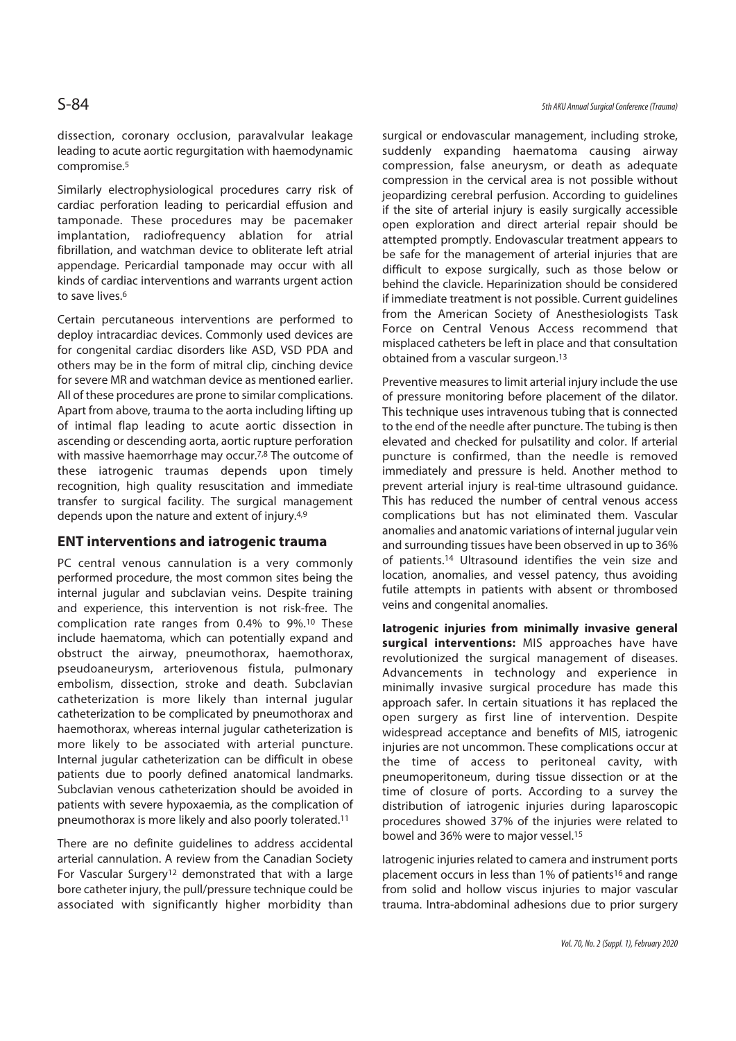dissection, coronary occlusion, paravalvular leakage leading to acute aortic regurgitation with haemodynamic compromise.5

Similarly electrophysiological procedures carry risk of cardiac perforation leading to pericardial effusion and tamponade. These procedures may be pacemaker implantation, radiofrequency ablation for atrial fibrillation, and watchman device to obliterate left atrial appendage. Pericardial tamponade may occur with all kinds of cardiac interventions and warrants urgent action to save lives.6

Certain percutaneous interventions are performed to deploy intracardiac devices. Commonly used devices are for congenital cardiac disorders like ASD, VSD PDA and others may be in the form of mitral clip, cinching device for severe MR and watchman device as mentioned earlier. All of these procedures are prone to similar complications. Apart from above, trauma to the aorta including lifting up of intimal flap leading to acute aortic dissection in ascending or descending aorta, aortic rupture perforation with massive haemorrhage may occur.<sup>7,8</sup> The outcome of these iatrogenic traumas depends upon timely recognition, high quality resuscitation and immediate transfer to surgical facility. The surgical management depends upon the nature and extent of injury.4,9

#### **ENT interventions and iatrogenic trauma**

PC central venous cannulation is a very commonly performed procedure, the most common sites being the internal jugular and subclavian veins. Despite training and experience, this intervention is not risk-free. The complication rate ranges from 0.4% to 9%.10 These include haematoma, which can potentially expand and obstruct the airway, pneumothorax, haemothorax, pseudoaneurysm, arteriovenous fistula, pulmonary embolism, dissection, stroke and death. Subclavian catheterization is more likely than internal jugular catheterization to be complicated by pneumothorax and haemothorax, whereas internal jugular catheterization is more likely to be associated with arterial puncture. Internal jugular catheterization can be difficult in obese patients due to poorly defined anatomical landmarks. Subclavian venous catheterization should be avoided in patients with severe hypoxaemia, as the complication of pneumothorax is more likely and also poorly tolerated.11

There are no definite guidelines to address accidental arterial cannulation. A review from the Canadian Society For Vascular Surgery12 demonstrated that with a large bore catheter injury, the pull/pressure technique could be associated with significantly higher morbidity than surgical or endovascular management, including stroke, suddenly expanding haematoma causing airway compression, false aneurysm, or death as adequate compression in the cervical area is not possible without jeopardizing cerebral perfusion. According to guidelines if the site of arterial injury is easily surgically accessible open exploration and direct arterial repair should be attempted promptly. Endovascular treatment appears to be safe for the management of arterial injuries that are difficult to expose surgically, such as those below or behind the clavicle. Heparinization should be considered if immediate treatment is not possible. Current guidelines from the American Society of Anesthesiologists Task Force on Central Venous Access recommend that misplaced catheters be left in place and that consultation obtained from a vascular surgeon.13

Preventive measures to limit arterial injury include the use of pressure monitoring before placement of the dilator. This technique uses intravenous tubing that is connected to the end of the needle after puncture. The tubing is then elevated and checked for pulsatility and color. If arterial puncture is confirmed, than the needle is removed immediately and pressure is held. Another method to prevent arterial injury is real-time ultrasound guidance. This has reduced the number of central venous access complications but has not eliminated them. Vascular anomalies and anatomic variations of internal jugular vein and surrounding tissues have been observed in up to 36% of patients.14 Ultrasound identifies the vein size and location, anomalies, and vessel patency, thus avoiding futile attempts in patients with absent or thrombosed veins and congenital anomalies.

**Iatrogenic injuries from minimally invasive general surgical interventions:** MIS approaches have have revolutionized the surgical management of diseases. Advancements in technology and experience in minimally invasive surgical procedure has made this approach safer. In certain situations it has replaced the open surgery as first line of intervention. Despite widespread acceptance and benefits of MIS, iatrogenic injuries are not uncommon. These complications occur at the time of access to peritoneal cavity, with pneumoperitoneum, during tissue dissection or at the time of closure of ports. According to a survey the distribution of iatrogenic injuries during laparoscopic procedures showed 37% of the injuries were related to bowel and 36% were to major vessel.15

Iatrogenic injuries related to camera and instrument ports placement occurs in less than 1% of patients<sup>16</sup> and range from solid and hollow viscus injuries to major vascular trauma. Intra-abdominal adhesions due to prior surgery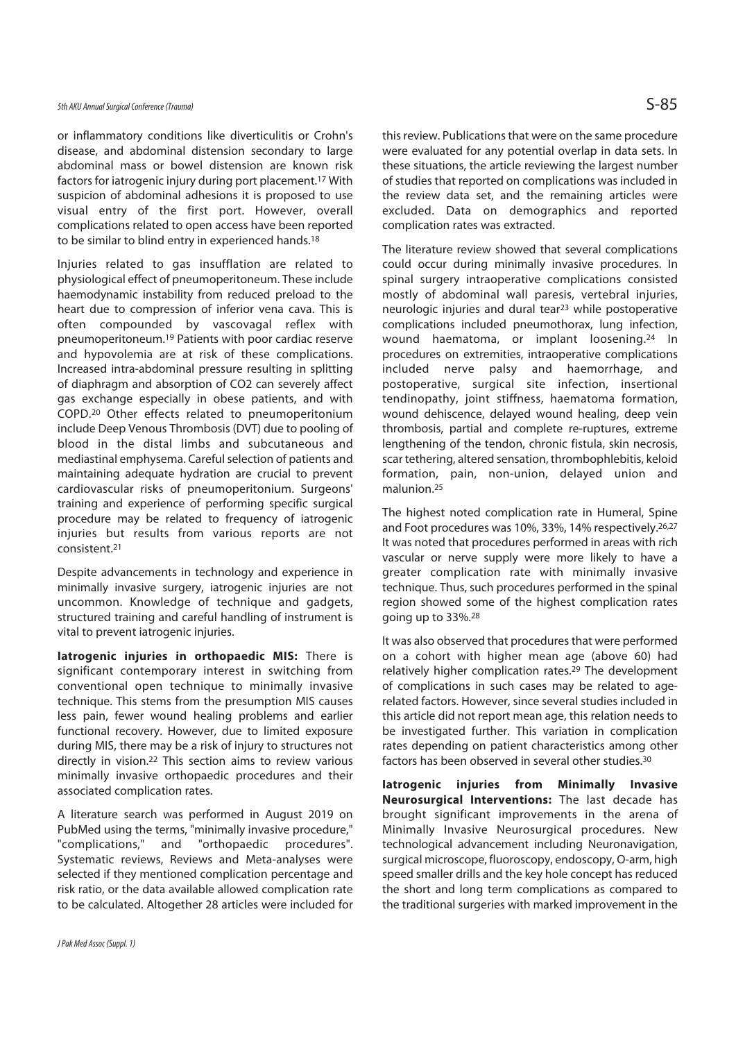or inflammatory conditions like diverticulitis or Crohn's disease, and abdominal distension secondary to large abdominal mass or bowel distension are known risk factors for iatrogenic injury during port placement.17 With suspicion of abdominal adhesions it is proposed to use visual entry of the first port. However, overall complications related to open access have been reported to be similar to blind entry in experienced hands.<sup>18</sup>

Injuries related to gas insufflation are related to physiological effect of pneumoperitoneum. These include haemodynamic instability from reduced preload to the heart due to compression of inferior vena cava. This is often compounded by vascovagal reflex with pneumoperitoneum.19 Patients with poor cardiac reserve and hypovolemia are at risk of these complications. Increased intra-abdominal pressure resulting in splitting of diaphragm and absorption of CO2 can severely affect gas exchange especially in obese patients, and with COPD.20 Other effects related to pneumoperitonium include Deep Venous Thrombosis (DVT) due to pooling of blood in the distal limbs and subcutaneous and mediastinal emphysema. Careful selection of patients and maintaining adequate hydration are crucial to prevent cardiovascular risks of pneumoperitonium. Surgeons' training and experience of performing specific surgical procedure may be related to frequency of iatrogenic injuries but results from various reports are not consistent.21

Despite advancements in technology and experience in minimally invasive surgery, iatrogenic injuries are not uncommon. Knowledge of technique and gadgets, structured training and careful handling of instrument is vital to prevent iatrogenic injuries.

**Iatrogenic injuries in orthopaedic MIS:** There is significant contemporary interest in switching from conventional open technique to minimally invasive technique. This stems from the presumption MIS causes less pain, fewer wound healing problems and earlier functional recovery. However, due to limited exposure during MIS, there may be a risk of injury to structures not directly in vision.22 This section aims to review various minimally invasive orthopaedic procedures and their associated complication rates.

A literature search was performed in August 2019 on PubMed using the terms, "minimally invasive procedure," "complications," and "orthopaedic procedures". Systematic reviews, Reviews and Meta-analyses were selected if they mentioned complication percentage and risk ratio, or the data available allowed complication rate to be calculated. Altogether 28 articles were included for

this review. Publications that were on the same procedure were evaluated for any potential overlap in data sets. In these situations, the article reviewing the largest number of studies that reported on complications was included in the review data set, and the remaining articles were excluded. Data on demographics and reported complication rates was extracted.

The literature review showed that several complications could occur during minimally invasive procedures. In spinal surgery intraoperative complications consisted mostly of abdominal wall paresis, vertebral injuries, neurologic injuries and dural tear<sup>23</sup> while postoperative complications included pneumothorax, lung infection, wound haematoma, or implant loosening.24 In procedures on extremities, intraoperative complications included nerve palsy and haemorrhage, and postoperative, surgical site infection, insertional tendinopathy, joint stiffness, haematoma formation, wound dehiscence, delayed wound healing, deep vein thrombosis, partial and complete re-ruptures, extreme lengthening of the tendon, chronic fistula, skin necrosis, scar tethering, altered sensation, thrombophlebitis, keloid formation, pain, non-union, delayed union and malunion.25

The highest noted complication rate in Humeral, Spine and Foot procedures was 10%, 33%, 14% respectively.26,27 It was noted that procedures performed in areas with rich vascular or nerve supply were more likely to have a greater complication rate with minimally invasive technique. Thus, such procedures performed in the spinal region showed some of the highest complication rates going up to 33%.28

It was also observed that procedures that were performed on a cohort with higher mean age (above 60) had relatively higher complication rates.<sup>29</sup> The development of complications in such cases may be related to agerelated factors. However, since several studies included in this article did not report mean age, this relation needs to be investigated further. This variation in complication rates depending on patient characteristics among other factors has been observed in several other studies.30

**Iatrogenic injuries from Minimally Invasive Neurosurgical Interventions:** The last decade has brought significant improvements in the arena of Minimally Invasive Neurosurgical procedures. New technological advancement including Neuronavigation, surgical microscope, fluoroscopy, endoscopy, O-arm, high speed smaller drills and the key hole concept has reduced the short and long term complications as compared to the traditional surgeries with marked improvement in the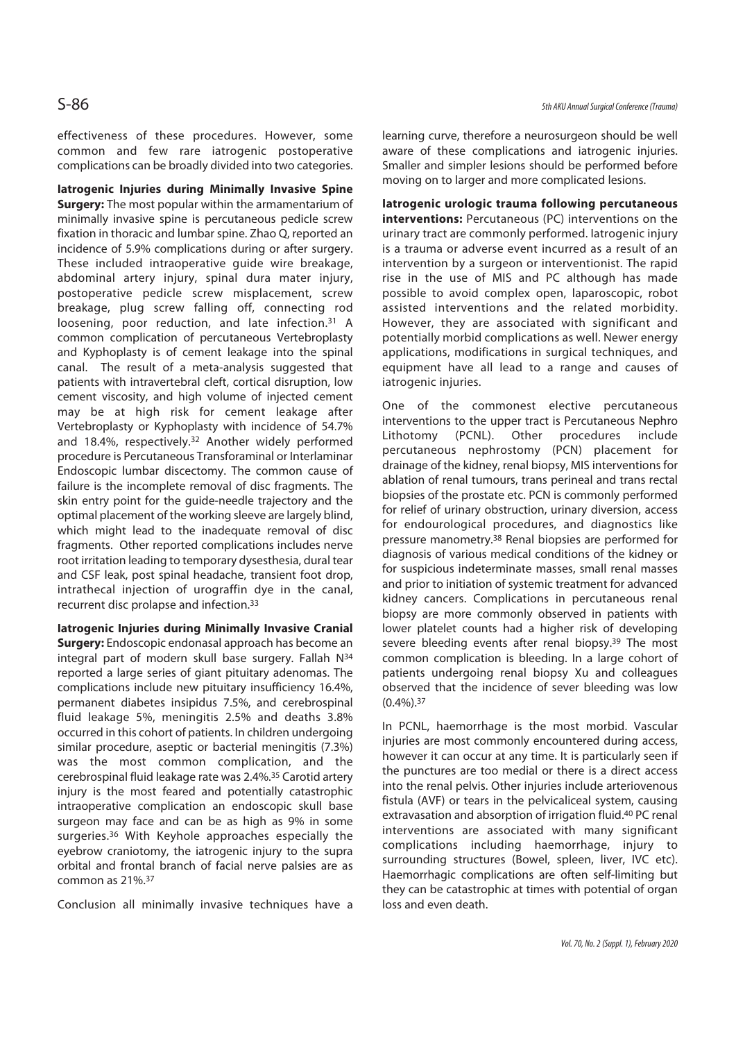effectiveness of these procedures. However, some common and few rare iatrogenic postoperative complications can be broadly divided into two categories.

**Iatrogenic Injuries during Minimally Invasive Spine Surgery:** The most popular within the armamentarium of minimally invasive spine is percutaneous pedicle screw fixation in thoracic and lumbar spine. Zhao Q, reported an incidence of 5.9% complications during or after surgery. These included intraoperative guide wire breakage, abdominal artery injury, spinal dura mater injury, postoperative pedicle screw misplacement, screw breakage, plug screw falling off, connecting rod loosening, poor reduction, and late infection.31 A common complication of percutaneous Vertebroplasty and Kyphoplasty is of cement leakage into the spinal canal. The result of a meta-analysis suggested that patients with intravertebral cleft, cortical disruption, low cement viscosity, and high volume of injected cement may be at high risk for cement leakage after Vertebroplasty or Kyphoplasty with incidence of 54.7% and 18.4%, respectively.32 Another widely performed procedure is Percutaneous Transforaminal or Interlaminar Endoscopic lumbar discectomy. The common cause of failure is the incomplete removal of disc fragments. The skin entry point for the guide-needle trajectory and the optimal placement of the working sleeve are largely blind, which might lead to the inadequate removal of disc fragments. Other reported complications includes nerve root irritation leading to temporary dysesthesia, dural tear and CSF leak, post spinal headache, transient foot drop, intrathecal injection of urograffin dye in the canal, recurrent disc prolapse and infection.33

**Iatrogenic Injuries during Minimally Invasive Cranial Surgery:** Endoscopic endonasal approach has become an integral part of modern skull base surgery. Fallah N34 reported a large series of giant pituitary adenomas. The complications include new pituitary insufficiency 16.4%, permanent diabetes insipidus 7.5%, and cerebrospinal fluid leakage 5%, meningitis 2.5% and deaths 3.8% occurred in this cohort of patients. In children undergoing similar procedure, aseptic or bacterial meningitis (7.3%) was the most common complication, and the cerebrospinal fluid leakage rate was 2.4%.35 Carotid artery injury is the most feared and potentially catastrophic intraoperative complication an endoscopic skull base surgeon may face and can be as high as 9% in some surgeries.36 With Keyhole approaches especially the eyebrow craniotomy, the iatrogenic injury to the supra orbital and frontal branch of facial nerve palsies are as common as 21%.37

Conclusion all minimally invasive techniques have a

learning curve, therefore a neurosurgeon should be well aware of these complications and iatrogenic injuries. Smaller and simpler lesions should be performed before moving on to larger and more complicated lesions.

**Iatrogenic urologic trauma following percutaneous interventions:** Percutaneous (PC) interventions on the urinary tract are commonly performed. Iatrogenic injury is a trauma or adverse event incurred as a result of an intervention by a surgeon or interventionist. The rapid rise in the use of MIS and PC although has made possible to avoid complex open, laparoscopic, robot assisted interventions and the related morbidity. However, they are associated with significant and potentially morbid complications as well. Newer energy applications, modifications in surgical techniques, and equipment have all lead to a range and causes of iatrogenic injuries.

One of the commonest elective percutaneous interventions to the upper tract is Percutaneous Nephro Lithotomy (PCNL). Other procedures include percutaneous nephrostomy (PCN) placement for drainage of the kidney, renal biopsy, MIS interventions for ablation of renal tumours, trans perineal and trans rectal biopsies of the prostate etc. PCN is commonly performed for relief of urinary obstruction, urinary diversion, access for endourological procedures, and diagnostics like pressure manometry.38 Renal biopsies are performed for diagnosis of various medical conditions of the kidney or for suspicious indeterminate masses, small renal masses and prior to initiation of systemic treatment for advanced kidney cancers. Complications in percutaneous renal biopsy are more commonly observed in patients with lower platelet counts had a higher risk of developing severe bleeding events after renal biopsy.<sup>39</sup> The most common complication is bleeding. In a large cohort of patients undergoing renal biopsy Xu and colleagues observed that the incidence of sever bleeding was low  $(0.4\%)$ . 37

In PCNL, haemorrhage is the most morbid. Vascular injuries are most commonly encountered during access, however it can occur at any time. It is particularly seen if the punctures are too medial or there is a direct access into the renal pelvis. Other injuries include arteriovenous fistula (AVF) or tears in the pelvicaliceal system, causing extravasation and absorption of irrigation fluid.40 PC renal interventions are associated with many significant complications including haemorrhage, injury to surrounding structures (Bowel, spleen, liver, IVC etc). Haemorrhagic complications are often self-limiting but they can be catastrophic at times with potential of organ loss and even death.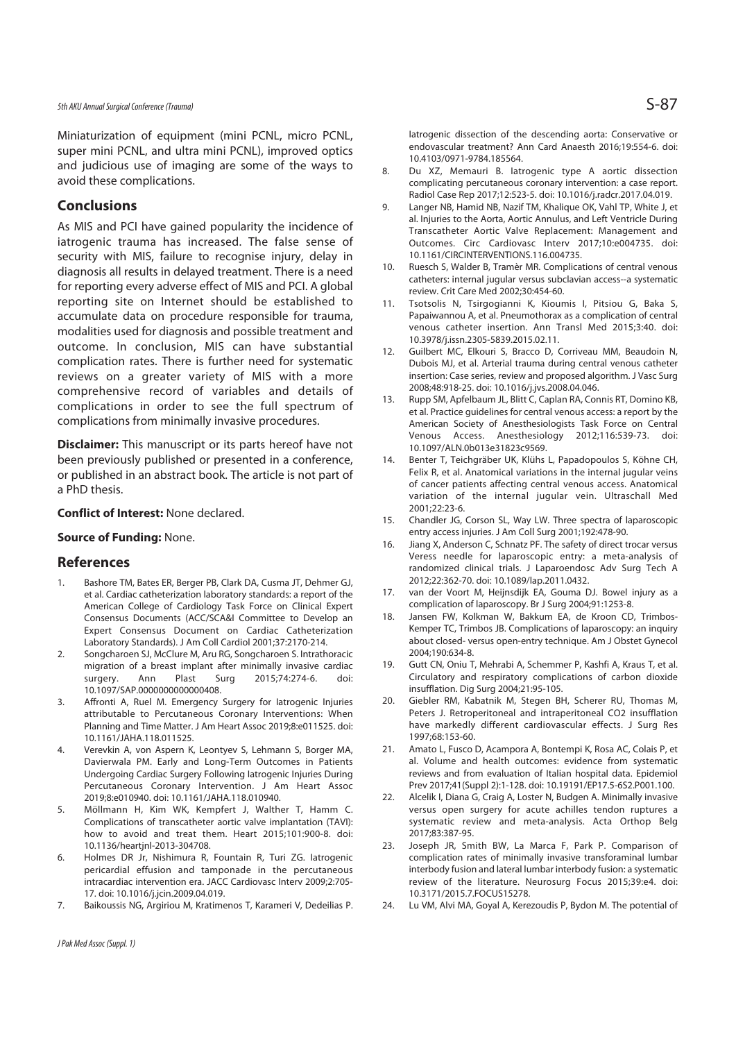Miniaturization of equipment (mini PCNL, micro PCNL, super mini PCNL, and ultra mini PCNL), improved optics and judicious use of imaging are some of the ways to avoid these complications.

#### **Conclusions**

As MIS and PCI have gained popularity the incidence of iatrogenic trauma has increased. The false sense of security with MIS, failure to recognise injury, delay in diagnosis all results in delayed treatment. There is a need for reporting every adverse effect of MIS and PCI. A global reporting site on Internet should be established to accumulate data on procedure responsible for trauma, modalities used for diagnosis and possible treatment and outcome. In conclusion, MIS can have substantial complication rates. There is further need for systematic reviews on a greater variety of MIS with a more comprehensive record of variables and details of complications in order to see the full spectrum of complications from minimally invasive procedures.

**Disclaimer:** This manuscript or its parts hereof have not been previously published or presented in a conference, or published in an abstract book. The article is not part of a PhD thesis.

#### **Conflict of Interest:** None declared.

#### **Source of Funding:** None.

#### **References**

- Bashore TM, Bates ER, Berger PB, Clark DA, Cusma JT, Dehmer GJ, et al. Cardiac catheterization laboratory standards: a report of the American College of Cardiology Task Force on Clinical Expert Consensus Documents (ACC/SCA&I Committee to Develop an Expert Consensus Document on Cardiac Catheterization Laboratory Standards). J Am Coll Cardiol 2001;37:2170-214.
- 2. Songcharoen SJ, McClure M, Aru RG, Songcharoen S. Intrathoracic migration of a breast implant after minimally invasive cardiac surgery. Ann Plast Surg 2015;74:274-6. doi: 10.1097/SAP.0000000000000408.
- 3. Affronti A, Ruel M. Emergency Surgery for Iatrogenic Injuries attributable to Percutaneous Coronary Interventions: When Planning and Time Matter. J Am Heart Assoc 2019;8:e011525. doi: 10.1161/JAHA.118.011525.
- 4. Verevkin A, von Aspern K, Leontyev S, Lehmann S, Borger MA, Davierwala PM. Early and Long-Term Outcomes in Patients Undergoing Cardiac Surgery Following Iatrogenic Injuries During Percutaneous Coronary Intervention. J Am Heart Assoc 2019;8:e010940. doi: 10.1161/JAHA.118.010940.
- 5. Möllmann H, Kim WK, Kempfert J, Walther T, Hamm C. Complications of transcatheter aortic valve implantation (TAVI): how to avoid and treat them. Heart 2015;101:900-8. doi: 10.1136/heartjnl-2013-304708.
- 6. Holmes DR Jr, Nishimura R, Fountain R, Turi ZG. Iatrogenic pericardial effusion and tamponade in the percutaneous intracardiac intervention era. JACC Cardiovasc Interv 2009;2:705- 17. doi: 10.1016/j.jcin.2009.04.019.
- 7. Baikoussis NG, Argiriou M, Kratimenos T, Karameri V, Dedeilias P.

Iatrogenic dissection of the descending aorta: Conservative or endovascular treatment? Ann Card Anaesth 2016;19:554-6. doi: 10.4103/0971-9784.185564.

- 8. Du XZ, Memauri B. Iatrogenic type A aortic dissection complicating percutaneous coronary intervention: a case report. Radiol Case Rep 2017;12:523-5. doi: 10.1016/j.radcr.2017.04.019.
- 9. Langer NB, Hamid NB, Nazif TM, Khalique OK, Vahl TP, White J, et al. Injuries to the Aorta, Aortic Annulus, and Left Ventricle During Transcatheter Aortic Valve Replacement: Management and Outcomes. Circ Cardiovasc Interv 2017;10:e004735. doi: 10.1161/CIRCINTERVENTIONS.116.004735.
- 10. Ruesch S, Walder B, Tramèr MR. Complications of central venous catheters: internal jugular versus subclavian access--a systematic review. Crit Care Med 2002;30:454-60.
- 11. Tsotsolis N, Tsirgogianni K, Kioumis I, Pitsiou G, Baka S, Papaiwannou A, et al. Pneumothorax as a complication of central venous catheter insertion. Ann Transl Med 2015;3:40. doi: 10.3978/j.issn.2305-5839.2015.02.11.
- 12. Guilbert MC, Elkouri S, Bracco D, Corriveau MM, Beaudoin N, Dubois MJ, et al. Arterial trauma during central venous catheter insertion: Case series, review and proposed algorithm. J Vasc Surg 2008;48:918-25. doi: 10.1016/j.jvs.2008.04.046.
- 13. Rupp SM, Apfelbaum JL, Blitt C, Caplan RA, Connis RT, Domino KB, et al. Practice guidelines for central venous access: a report by the American Society of Anesthesiologists Task Force on Central Venous Access. Anesthesiology 2012;116:539-73. doi: 10.1097/ALN.0b013e31823c9569.
- 14. Benter T, Teichgräber UK, Klühs L, Papadopoulos S, Köhne CH, Felix R, et al. Anatomical variations in the internal jugular veins of cancer patients affecting central venous access. Anatomical variation of the internal jugular vein. Ultraschall Med 2001;22:23-6.
- 15. Chandler JG, Corson SL, Way LW. Three spectra of laparoscopic entry access injuries. J Am Coll Surg 2001;192:478-90.
- 16. Jiang X, Anderson C, Schnatz PF. The safety of direct trocar versus Veress needle for laparoscopic entry: a meta-analysis of randomized clinical trials. J Laparoendosc Adv Surg Tech A 2012;22:362-70. doi: 10.1089/lap.2011.0432.
- 17. van der Voort M, Heijnsdijk EA, Gouma DJ. Bowel injury as a complication of laparoscopy. Br J Surg 2004;91:1253-8.
- 18. Jansen FW, Kolkman W, Bakkum EA, de Kroon CD, Trimbos-Kemper TC, Trimbos JB. Complications of laparoscopy: an inquiry about closed- versus open-entry technique. Am J Obstet Gynecol 2004;190:634-8.
- 19. Gutt CN, Oniu T, Mehrabi A, Schemmer P, Kashfi A, Kraus T, et al. Circulatory and respiratory complications of carbon dioxide insufflation. Dig Surg 2004;21:95-105.
- 20. Giebler RM, Kabatnik M, Stegen BH, Scherer RU, Thomas M, Peters J. Retroperitoneal and intraperitoneal CO2 insufflation have markedly different cardiovascular effects. J Surg Res 1997;68:153-60.
- 21. Amato L, Fusco D, Acampora A, Bontempi K, Rosa AC, Colais P, et al. Volume and health outcomes: evidence from systematic reviews and from evaluation of Italian hospital data. Epidemiol Prev 2017;41(Suppl 2):1-128. doi: 10.19191/EP17.5-6S2.P001.100.
- 22. Alcelik I, Diana G, Craig A, Loster N, Budgen A. Minimally invasive versus open surgery for acute achilles tendon ruptures a systematic review and meta-analysis. Acta Orthop Belg 2017;83:387-95.
- 23. Joseph JR, Smith BW, La Marca F, Park P. Comparison of complication rates of minimally invasive transforaminal lumbar interbody fusion and lateral lumbar interbody fusion: a systematic review of the literature. Neurosurg Focus 2015;39:e4. doi: 10.3171/2015.7.FOCUS15278.
- 24. Lu VM, Alvi MA, Goyal A, Kerezoudis P, Bydon M. The potential of